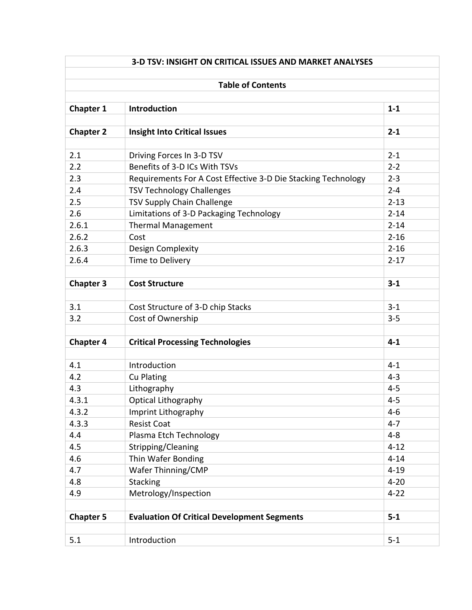| <b>Table of Contents</b> |                                                               |          |  |  |
|--------------------------|---------------------------------------------------------------|----------|--|--|
|                          |                                                               |          |  |  |
| <b>Chapter 1</b>         | Introduction                                                  | $1 - 1$  |  |  |
| <b>Chapter 2</b>         | <b>Insight Into Critical Issues</b>                           | $2 - 1$  |  |  |
| 2.1                      | Driving Forces In 3-D TSV                                     | $2 - 1$  |  |  |
| 2.2                      | Benefits of 3-D ICs With TSVs                                 | $2 - 2$  |  |  |
| 2.3                      | Requirements For A Cost Effective 3-D Die Stacking Technology | $2 - 3$  |  |  |
| 2.4                      | <b>TSV Technology Challenges</b>                              | $2 - 4$  |  |  |
| 2.5                      | TSV Supply Chain Challenge                                    | $2 - 13$ |  |  |
| 2.6                      | Limitations of 3-D Packaging Technology                       | $2 - 14$ |  |  |
| 2.6.1                    | <b>Thermal Management</b>                                     | $2 - 14$ |  |  |
| 2.6.2                    | Cost                                                          | $2 - 16$ |  |  |
| 2.6.3                    | Design Complexity                                             | $2 - 16$ |  |  |
| 2.6.4                    | Time to Delivery                                              | $2 - 17$ |  |  |
|                          |                                                               |          |  |  |
| <b>Chapter 3</b>         | <b>Cost Structure</b>                                         | $3 - 1$  |  |  |
|                          |                                                               |          |  |  |
| 3.1                      | Cost Structure of 3-D chip Stacks                             | $3 - 1$  |  |  |
| 3.2                      | Cost of Ownership                                             | $3 - 5$  |  |  |
|                          |                                                               |          |  |  |
| <b>Chapter 4</b>         | <b>Critical Processing Technologies</b>                       | $4 - 1$  |  |  |
|                          |                                                               |          |  |  |
| 4.1                      | Introduction                                                  | $4 - 1$  |  |  |
| 4.2                      | <b>Cu Plating</b>                                             | $4 - 3$  |  |  |
| 4.3                      | Lithography                                                   | $4 - 5$  |  |  |
| 4.3.1                    | Optical Lithography                                           | $4 - 5$  |  |  |
| 4.3.2                    | Imprint Lithography                                           | $4-6$    |  |  |
| 4.3.3                    | <b>Resist Coat</b>                                            | $4 - 7$  |  |  |
| 4.4                      | Plasma Etch Technology                                        | $4 - 8$  |  |  |
| 4.5                      | Stripping/Cleaning                                            | $4 - 12$ |  |  |
| 4.6                      | Thin Wafer Bonding                                            | $4 - 14$ |  |  |
| 4.7                      | Wafer Thinning/CMP                                            | $4 - 19$ |  |  |
| 4.8                      | Stacking                                                      | $4 - 20$ |  |  |
| 4.9                      | Metrology/Inspection                                          | $4 - 22$ |  |  |
|                          |                                                               |          |  |  |
| <b>Chapter 5</b>         | <b>Evaluation Of Critical Development Segments</b>            | $5 - 1$  |  |  |
|                          |                                                               |          |  |  |
| 5.1                      | Introduction                                                  | $5 - 1$  |  |  |
|                          |                                                               |          |  |  |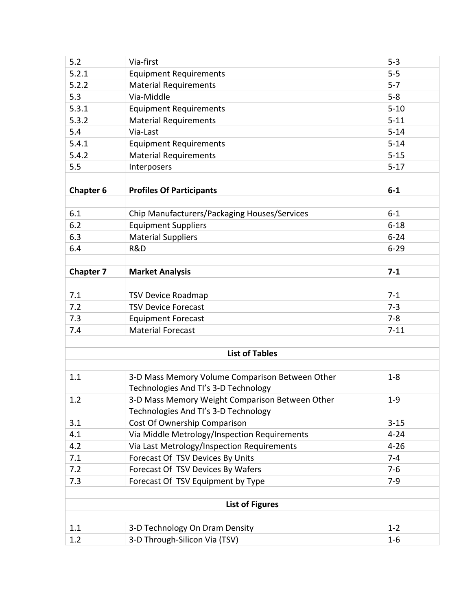| 5.2                    | Via-first                                       | $5 - 3$  |  |  |  |
|------------------------|-------------------------------------------------|----------|--|--|--|
| 5.2.1                  | <b>Equipment Requirements</b>                   | $5 - 5$  |  |  |  |
| 5.2.2                  | <b>Material Requirements</b>                    | $5 - 7$  |  |  |  |
| 5.3                    | Via-Middle                                      | $5 - 8$  |  |  |  |
| 5.3.1                  | <b>Equipment Requirements</b>                   | $5 - 10$ |  |  |  |
| 5.3.2                  | <b>Material Requirements</b>                    | $5 - 11$ |  |  |  |
| 5.4                    | Via-Last                                        | $5 - 14$ |  |  |  |
| 5.4.1                  | <b>Equipment Requirements</b>                   | $5 - 14$ |  |  |  |
| 5.4.2                  | <b>Material Requirements</b>                    | $5 - 15$ |  |  |  |
| 5.5                    | Interposers                                     | $5-17$   |  |  |  |
|                        |                                                 |          |  |  |  |
| <b>Chapter 6</b>       | <b>Profiles Of Participants</b>                 | $6-1$    |  |  |  |
|                        |                                                 |          |  |  |  |
| 6.1                    | Chip Manufacturers/Packaging Houses/Services    | $6 - 1$  |  |  |  |
| 6.2                    | <b>Equipment Suppliers</b>                      | $6 - 18$ |  |  |  |
| 6.3                    | <b>Material Suppliers</b>                       | $6 - 24$ |  |  |  |
| 6.4                    | R&D                                             | $6 - 29$ |  |  |  |
|                        |                                                 |          |  |  |  |
| <b>Chapter 7</b>       | <b>Market Analysis</b>                          | $7 - 1$  |  |  |  |
|                        |                                                 |          |  |  |  |
| 7.1                    | <b>TSV Device Roadmap</b>                       | $7 - 1$  |  |  |  |
| 7.2                    | <b>TSV Device Forecast</b>                      | $7 - 3$  |  |  |  |
| 7.3                    | <b>Equipment Forecast</b>                       | $7 - 8$  |  |  |  |
| 7.4                    | <b>Material Forecast</b>                        | $7 - 11$ |  |  |  |
|                        |                                                 |          |  |  |  |
| <b>List of Tables</b>  |                                                 |          |  |  |  |
|                        |                                                 |          |  |  |  |
| 1.1                    | 3-D Mass Memory Volume Comparison Between Other | $1 - 8$  |  |  |  |
|                        | Technologies And TI's 3-D Technology            |          |  |  |  |
| 1.2                    | 3-D Mass Memory Weight Comparison Between Other | $1 - 9$  |  |  |  |
|                        | Technologies And TI's 3-D Technology            |          |  |  |  |
| 3.1                    | Cost Of Ownership Comparison                    | $3 - 15$ |  |  |  |
| 4.1                    | Via Middle Metrology/Inspection Requirements    | $4 - 24$ |  |  |  |
| 4.2                    | Via Last Metrology/Inspection Requirements      | $4 - 26$ |  |  |  |
| 7.1                    | Forecast Of TSV Devices By Units                | $7 - 4$  |  |  |  |
| 7.2                    | Forecast Of TSV Devices By Wafers               | $7-6$    |  |  |  |
| 7.3                    | Forecast Of TSV Equipment by Type               | $7-9$    |  |  |  |
|                        |                                                 |          |  |  |  |
| <b>List of Figures</b> |                                                 |          |  |  |  |
|                        |                                                 |          |  |  |  |
| 1.1                    | 3-D Technology On Dram Density                  | $1 - 2$  |  |  |  |
| 1.2                    | 3-D Through-Silicon Via (TSV)                   | $1-6$    |  |  |  |